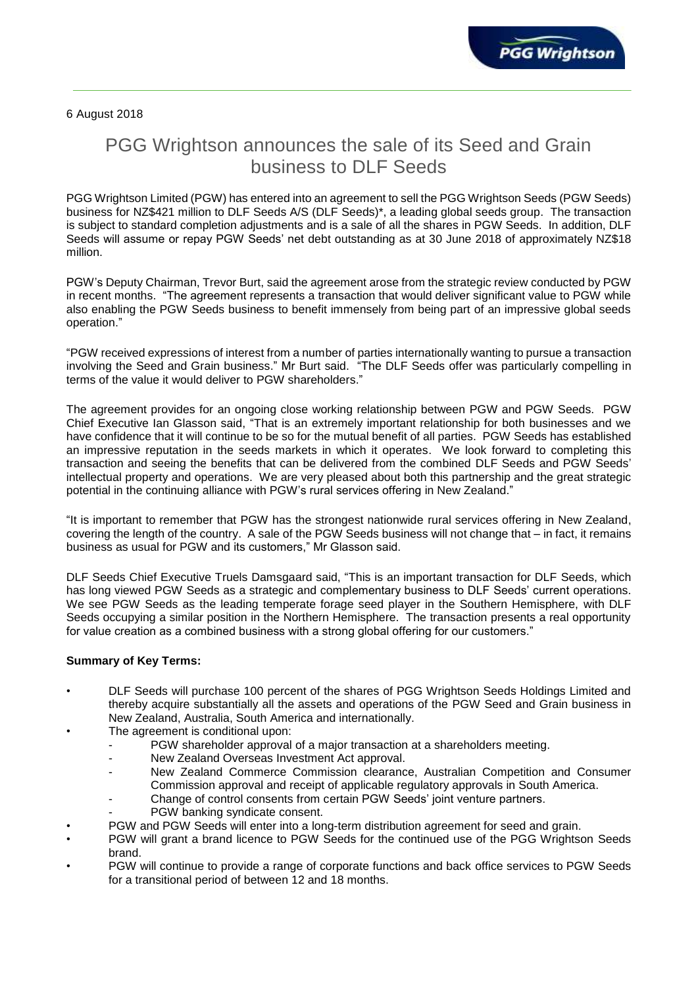6 August 2018

# PGG Wrightson announces the sale of its Seed and Grain business to DLF Seeds

PGG Wrightson Limited (PGW) has entered into an agreement to sell the PGG Wrightson Seeds (PGW Seeds) business for NZ\$421 million to DLF Seeds A/S (DLF Seeds)\*, a leading global seeds group. The transaction is subject to standard completion adjustments and is a sale of all the shares in PGW Seeds. In addition, DLF Seeds will assume or repay PGW Seeds' net debt outstanding as at 30 June 2018 of approximately NZ\$18 million.

PGW's Deputy Chairman, Trevor Burt, said the agreement arose from the strategic review conducted by PGW in recent months. "The agreement represents a transaction that would deliver significant value to PGW while also enabling the PGW Seeds business to benefit immensely from being part of an impressive global seeds operation."

"PGW received expressions of interest from a number of parties internationally wanting to pursue a transaction involving the Seed and Grain business." Mr Burt said. "The DLF Seeds offer was particularly compelling in terms of the value it would deliver to PGW shareholders."

The agreement provides for an ongoing close working relationship between PGW and PGW Seeds. PGW Chief Executive Ian Glasson said, "That is an extremely important relationship for both businesses and we have confidence that it will continue to be so for the mutual benefit of all parties. PGW Seeds has established an impressive reputation in the seeds markets in which it operates. We look forward to completing this transaction and seeing the benefits that can be delivered from the combined DLF Seeds and PGW Seeds' intellectual property and operations. We are very pleased about both this partnership and the great strategic potential in the continuing alliance with PGW's rural services offering in New Zealand."

"It is important to remember that PGW has the strongest nationwide rural services offering in New Zealand, covering the length of the country. A sale of the PGW Seeds business will not change that – in fact, it remains business as usual for PGW and its customers," Mr Glasson said.

DLF Seeds Chief Executive Truels Damsgaard said, "This is an important transaction for DLF Seeds, which has long viewed PGW Seeds as a strategic and complementary business to DLF Seeds' current operations. We see PGW Seeds as the leading temperate forage seed player in the Southern Hemisphere, with DLF Seeds occupying a similar position in the Northern Hemisphere. The transaction presents a real opportunity for value creation as a combined business with a strong global offering for our customers."

## **Summary of Key Terms:**

- DLF Seeds will purchase 100 percent of the shares of PGG Wrightson Seeds Holdings Limited and thereby acquire substantially all the assets and operations of the PGW Seed and Grain business in New Zealand, Australia, South America and internationally.
- The agreement is conditional upon:
	- PGW shareholder approval of a major transaction at a shareholders meeting.
	- New Zealand Overseas Investment Act approval.
	- New Zealand Commerce Commission clearance, Australian Competition and Consumer Commission approval and receipt of applicable regulatory approvals in South America.
	- Change of control consents from certain PGW Seeds' joint venture partners.
	- PGW banking syndicate consent.
- PGW and PGW Seeds will enter into a long-term distribution agreement for seed and grain.
- PGW will grant a brand licence to PGW Seeds for the continued use of the PGG Wrightson Seeds brand.
- PGW will continue to provide a range of corporate functions and back office services to PGW Seeds for a transitional period of between 12 and 18 months.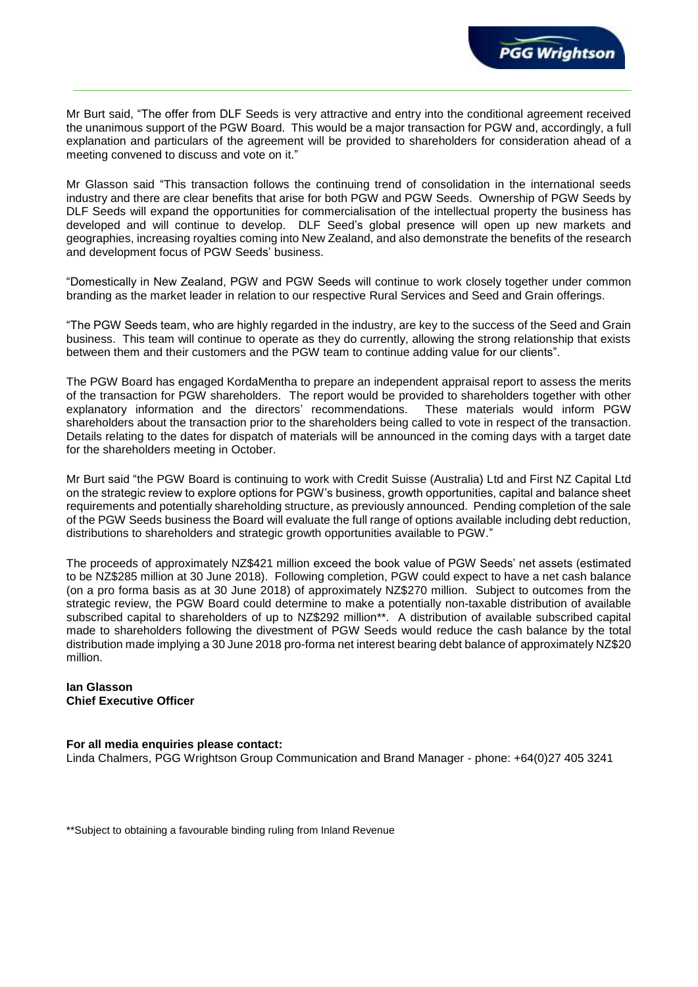Mr Burt said, "The offer from DLF Seeds is very attractive and entry into the conditional agreement received the unanimous support of the PGW Board. This would be a major transaction for PGW and, accordingly, a full explanation and particulars of the agreement will be provided to shareholders for consideration ahead of a meeting convened to discuss and vote on it."

**PGG Wrightson** 

Mr Glasson said "This transaction follows the continuing trend of consolidation in the international seeds industry and there are clear benefits that arise for both PGW and PGW Seeds. Ownership of PGW Seeds by DLF Seeds will expand the opportunities for commercialisation of the intellectual property the business has developed and will continue to develop. DLF Seed's global presence will open up new markets and geographies, increasing royalties coming into New Zealand, and also demonstrate the benefits of the research and development focus of PGW Seeds' business.

"Domestically in New Zealand, PGW and PGW Seeds will continue to work closely together under common branding as the market leader in relation to our respective Rural Services and Seed and Grain offerings.

"The PGW Seeds team, who are highly regarded in the industry, are key to the success of the Seed and Grain business. This team will continue to operate as they do currently, allowing the strong relationship that exists between them and their customers and the PGW team to continue adding value for our clients".

The PGW Board has engaged KordaMentha to prepare an independent appraisal report to assess the merits of the transaction for PGW shareholders. The report would be provided to shareholders together with other explanatory information and the directors' recommendations. These materials would inform PGW shareholders about the transaction prior to the shareholders being called to vote in respect of the transaction. Details relating to the dates for dispatch of materials will be announced in the coming days with a target date for the shareholders meeting in October.

Mr Burt said "the PGW Board is continuing to work with Credit Suisse (Australia) Ltd and First NZ Capital Ltd on the strategic review to explore options for PGW's business, growth opportunities, capital and balance sheet requirements and potentially shareholding structure, as previously announced. Pending completion of the sale of the PGW Seeds business the Board will evaluate the full range of options available including debt reduction, distributions to shareholders and strategic growth opportunities available to PGW."

The proceeds of approximately NZ\$421 million exceed the book value of PGW Seeds' net assets (estimated to be NZ\$285 million at 30 June 2018). Following completion, PGW could expect to have a net cash balance (on a pro forma basis as at 30 June 2018) of approximately NZ\$270 million. Subject to outcomes from the strategic review, the PGW Board could determine to make a potentially non-taxable distribution of available subscribed capital to shareholders of up to NZ\$292 million\*\*. A distribution of available subscribed capital made to shareholders following the divestment of PGW Seeds would reduce the cash balance by the total distribution made implying a 30 June 2018 pro-forma net interest bearing debt balance of approximately NZ\$20 million.

#### **Ian Glasson Chief Executive Officer**

#### **For all media enquiries please contact:**

Linda Chalmers, PGG Wrightson Group Communication and Brand Manager - phone: +64(0)27 405 3241

\*\*Subject to obtaining a favourable binding ruling from Inland Revenue